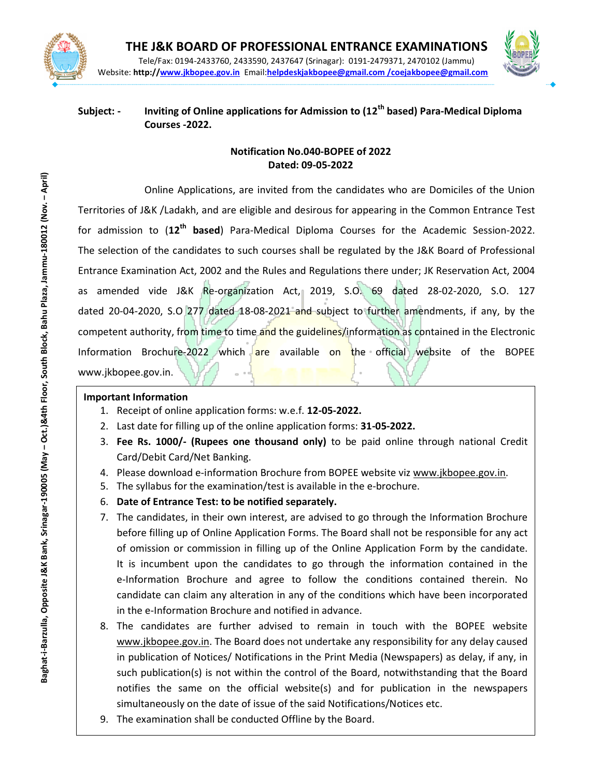



### Subject: - Inviting of Online applications for Admission to  $(12<sup>th</sup>$  based) Para-Medical Diploma Courses -2022.

### Notification No.040-BOPEE of 2022 Dated: 09-05-2022

Baghat-i-Barzulla, Opposite J&K Bank, Srinagar-190005 (May – Oct.)&4th Floor, South Block, Bahu Plaza, Jammu-180012 (Nov. – April) Online Applications, are invited from the candidates who are Domiciles of the Union Territories of J&K /Ladakh, and are eligible and desirous for appearing in the Common Entrance Test for admission to  $(12<sup>th</sup>$  based) Para-Medical Diploma Courses for the Academic Session-2022. The selection of the candidates to such courses shall be regulated by the J&K Board of Professional Entrance Examination Act, 2002 and the Rules and Regulations there under; JK Reservation Act, 2004 as amended vide J&K Re-organization Act, 2019, S.O. 69 dated 28-02-2020, S.O. 127 dated 20-04-2020, S.O 277 dated 18-08-2021 and subject to further amendments, if any, by the competent authority, from time to time and the guidelines/information as contained in the Electronic Information Brochure-2022 which are available on the official website of the BOPEE www.jkbopee.gov.in.

### Important Information

- 1. Receipt of online application forms: w.e.f. 12-05-2022.
- 2. Last date for filling up of the online application forms: 31-05-2022.
- 3. Fee Rs. 1000/- (Rupees one thousand only) to be paid online through national Credit Card/Debit Card/Net Banking.
- 4. Please download e-information Brochure from BOPEE website viz www.jkbopee.gov.in.
- 5. The syllabus for the examination/test is available in the e-brochure.
- 6. Date of Entrance Test: to be notified separately.
- 7. The candidates, in their own interest, are advised to go through the Information Brochure before filling up of Online Application Forms. The Board shall not be responsible for any act of omission or commission in filling up of the Online Application Form by the candidate. It is incumbent upon the candidates to go through the information contained in the e-Information Brochure and agree to follow the conditions contained therein. No candidate can claim any alteration in any of the conditions which have been incorporated in the e-Information Brochure and notified in advance.
- 8. The candidates are further advised to remain in touch with the BOPEE website www.jkbopee.gov.in. The Board does not undertake any responsibility for any delay caused in publication of Notices/ Notifications in the Print Media (Newspapers) as delay, if any, in such publication(s) is not within the control of the Board, notwithstanding that the Board notifies the same on the official website(s) and for publication in the newspapers simultaneously on the date of issue of the said Notifications/Notices etc.
- Help Desk: 9. The examination shall be conducted Offline by the Board.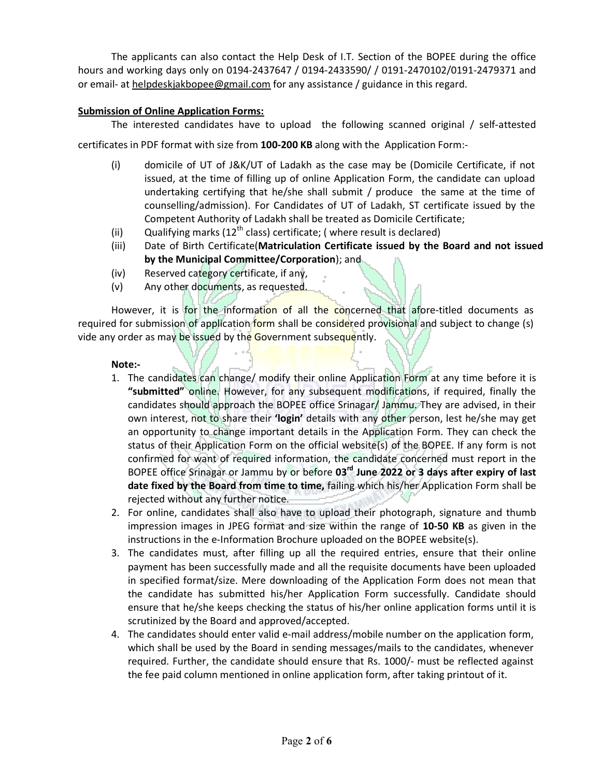The applicants can also contact the Help Desk of I.T. Section of the BOPEE during the office hours and working days only on 0194-2437647 / 0194-2433590/ / 0191-2470102/0191-2479371 and or email- at helpdeskjakbopee@gmail.com for any assistance / guidance in this regard.

#### Submission of Online Application Forms:

The interested candidates have to upload the following scanned original / self-attested

certificates in PDF format with size from 100-200 KB along with the Application Form:-

- (i) domicile of UT of J&K/UT of Ladakh as the case may be (Domicile Certificate, if not issued, at the time of filling up of online Application Form, the candidate can upload undertaking certifying that he/she shall submit / produce the same at the time of counselling/admission). For Candidates of UT of Ladakh, ST certificate issued by the Competent Authority of Ladakh shall be treated as Domicile Certificate;
- (ii) Qualifying marks (12<sup>th</sup> class) certificate; ( where result is declared)
- (iii) Date of Birth Certificate(Matriculation Certificate issued by the Board and not issued by the Municipal Committee/Corporation); and
- (iv) Reserved category certificate, if any,
- (v) Any other documents, as requested.

However, it is for the information of all the concerned that afore-titled documents as required for submission of application form shall be considered provisional and subject to change (s) vide any order as may be issued by the Government subsequently.

#### Note:-

- 1. The candidates can change/ modify their online Application Form at any time before it is "submitted" online. However, for any subsequent modifications, if required, finally the candidates should approach the BOPEE office Srinagar/ Jammu. They are advised, in their own interest, not to share their 'login' details with any other person, lest he/she may get an opportunity to change important details in the Application Form. They can check the status of their Application Form on the official website(s) of the BOPEE. If any form is not confirmed for want of required information, the candidate concerned must report in the BOPEE office Srinagar or Jammu by or before 03<sup>rd</sup> June 2022 or 3 days after expiry of last date fixed by the Board from time to time, failing which his/her Application Form shall be rejected without any further notice.
- 2. For online, candidates shall also have to upload their photograph, signature and thumb impression images in JPEG format and size within the range of 10-50 KB as given in the instructions in the e-Information Brochure uploaded on the BOPEE website(s).
- 3. The candidates must, after filling up all the required entries, ensure that their online payment has been successfully made and all the requisite documents have been uploaded in specified format/size. Mere downloading of the Application Form does not mean that the candidate has submitted his/her Application Form successfully. Candidate should ensure that he/she keeps checking the status of his/her online application forms until it is scrutinized by the Board and approved/accepted.
- 4. The candidates should enter valid e-mail address/mobile number on the application form, which shall be used by the Board in sending messages/mails to the candidates, whenever required. Further, the candidate should ensure that Rs. 1000/- must be reflected against the fee paid column mentioned in online application form, after taking printout of it.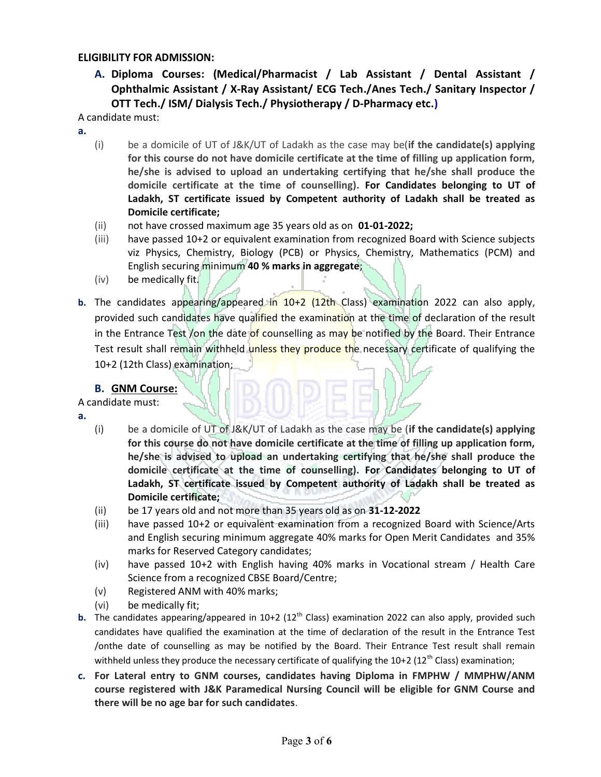#### ELIGIBILITY FOR ADMISSION:

A. Diploma Courses: (Medical/Pharmacist / Lab Assistant / Dental Assistant / Ophthalmic Assistant / X-Ray Assistant/ ECG Tech./Anes Tech./ Sanitary Inspector / OTT Tech./ ISM/ Dialysis Tech./ Physiotherapy / D-Pharmacy etc.)

A candidate must:

- a.
- (i) be a domicile of UT of J&K/UT of Ladakh as the case may be(if the candidate(s) applying for this course do not have domicile certificate at the time of filling up application form, he/she is advised to upload an undertaking certifying that he/she shall produce the domicile certificate at the time of counselling). For Candidates belonging to UT of Ladakh, ST certificate issued by Competent authority of Ladakh shall be treated as Domicile certificate;
- (ii) not have crossed maximum age 35 years old as on 01-01-2022;
- (iii) have passed 10+2 or equivalent examination from recognized Board with Science subjects viz Physics, Chemistry, Biology (PCB) or Physics, Chemistry, Mathematics (PCM) and English securing minimum 40 % marks in aggregate;
- (iv) be medically fit.
- b. The candidates appearing/appeared in 10+2 (12th Class) examination 2022 can also apply, provided such candidates have qualified the examination at the time of declaration of the result in the Entrance Test /on the date of counselling as may be notified by the Board. Their Entrance Test result shall remain withheld unless they produce the necessary certificate of qualifying the 10+2 (12th Class) examination;

### B. GNM Course:

### A candidate must:

- a.
- (i) be a domicile of UT of J&K/UT of Ladakh as the case may be (if the candidate(s) applying for this course do not have domicile certificate at the time of filling up application form, he/she is advised to upload an undertaking certifying that he/she shall produce the domicile certificate at the time of counselling). For Candidates belonging to UT of Ladakh, ST certificate issued by Competent authority of Ladakh shall be treated as Domicile certificate;
- (ii) be 17 years old and not more than 35 years old as on 31-12-2022
- (iii) have passed 10+2 or equivalent examination from a recognized Board with Science/Arts and English securing minimum aggregate 40% marks for Open Merit Candidates and 35% marks for Reserved Category candidates;
- (iv) have passed 10+2 with English having 40% marks in Vocational stream / Health Care Science from a recognized CBSE Board/Centre;
- (v) Registered ANM with 40% marks;
- (vi) be medically fit;
- **b.** The candidates appearing/appeared in 10+2 (12<sup>th</sup> Class) examination 2022 can also apply, provided such candidates have qualified the examination at the time of declaration of the result in the Entrance Test /onthe date of counselling as may be notified by the Board. Their Entrance Test result shall remain withheld unless they produce the necessary certificate of qualifying the  $10+2$  ( $12<sup>th</sup>$  Class) examination;
- c. For Lateral entry to GNM courses, candidates having Diploma in FMPHW / MMPHW/ANM course registered with J&K Paramedical Nursing Council will be eligible for GNM Course and there will be no age bar for such candidates.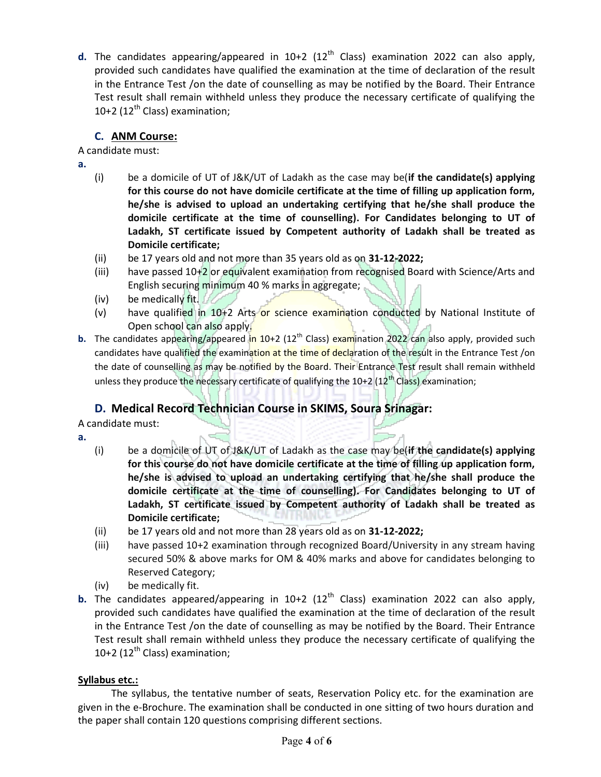**d.** The candidates appearing/appeared in 10+2 (12<sup>th</sup> Class) examination 2022 can also apply, provided such candidates have qualified the examination at the time of declaration of the result in the Entrance Test /on the date of counselling as may be notified by the Board. Their Entrance Test result shall remain withheld unless they produce the necessary certificate of qualifying the 10+2 ( $12<sup>th</sup>$  Class) examination;

## C. ANM Course:

A candidate must:

- a.
- (i) be a domicile of UT of J&K/UT of Ladakh as the case may be(if the candidate(s) applying for this course do not have domicile certificate at the time of filling up application form, he/she is advised to upload an undertaking certifying that he/she shall produce the domicile certificate at the time of counselling). For Candidates belonging to UT of Ladakh, ST certificate issued by Competent authority of Ladakh shall be treated as Domicile certificate;
- (ii) be 17 years old and not more than 35 years old as on 31-12-2022;
- (iii) have passed 10+2 or equivalent examination from recognised Board with Science/Arts and English securing minimum 40 % marks in aggregate;
- (iv) be medically fit.
- (v) have qualified in 10+2 Arts or science examination conducted by National Institute of Open school can also apply.
- b. The candidates appearing/appeared in 10+2 (12<sup>th</sup> Class) examination 2022 can also apply, provided such candidates have qualified the examination at the time of declaration of the result in the Entrance Test /on the date of counselling as may be notified by the Board. Their Entrance Test result shall remain withheld unless they produce the necessary certificate of qualifying the  $10+2$  ( $12<sup>th</sup>$  Class) examination;

# D. Medical Record Technician Course in SKIMS, Soura Srinagar:

A candidate must:

- a.
- (i) be a domicile of UT of J&K/UT of Ladakh as the case may be(if the candidate(s) applying for this course do not have domicile certificate at the time of filling up application form, he/she is advised to upload an undertaking certifying that he/she shall produce the domicile certificate at the time of counselling). For Candidates belonging to UT of Ladakh, ST certificate issued by Competent authority of Ladakh shall be treated as Domicile certificate;
- (ii) be 17 years old and not more than 28 years old as on 31-12-2022;
- (iii) have passed 10+2 examination through recognized Board/University in any stream having secured 50% & above marks for OM & 40% marks and above for candidates belonging to Reserved Category;
- (iv) be medically fit.
- **b.** The candidates appeared/appearing in  $10+2$  ( $12<sup>th</sup>$  Class) examination 2022 can also apply, provided such candidates have qualified the examination at the time of declaration of the result in the Entrance Test /on the date of counselling as may be notified by the Board. Their Entrance Test result shall remain withheld unless they produce the necessary certificate of qualifying the 10+2 ( $12<sup>th</sup>$  Class) examination;

### Syllabus etc.:

 The syllabus, the tentative number of seats, Reservation Policy etc. for the examination are given in the e-Brochure. The examination shall be conducted in one sitting of two hours duration and the paper shall contain 120 questions comprising different sections.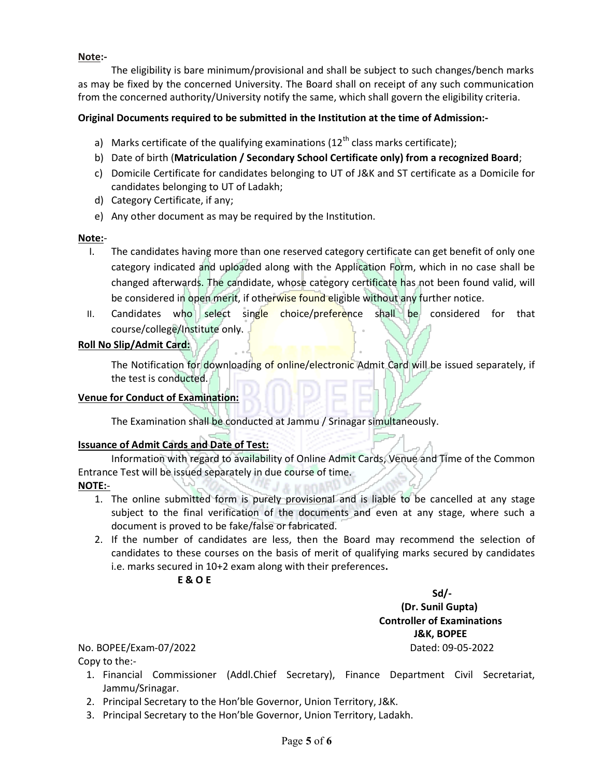### Note:-

The eligibility is bare minimum/provisional and shall be subject to such changes/bench marks as may be fixed by the concerned University. The Board shall on receipt of any such communication from the concerned authority/University notify the same, which shall govern the eligibility criteria.

### Original Documents required to be submitted in the Institution at the time of Admission:-

- a) Marks certificate of the qualifying examinations  $(12<sup>th</sup>$  class marks certificate);
- b) Date of birth (Matriculation / Secondary School Certificate only) from a recognized Board;
- c) Domicile Certificate for candidates belonging to UT of J&K and ST certificate as a Domicile for candidates belonging to UT of Ladakh;
- d) Category Certificate, if any;
- e) Any other document as may be required by the Institution.

### Note:-

- I. The candidates having more than one reserved category certificate can get benefit of only one category indicated and uploaded along with the Application Form, which in no case shall be changed afterwards. The candidate, whose category certificate has not been found valid, will be considered in open merit, if otherwise found eligible without any further notice.
- II. Candidates who select single choice/preference shall be considered for that course/college/Institute only.

### Roll No Slip/Admit Card:

The Notification for downloading of online/electronic Admit Card will be issued separately, if the test is conducted.

### Venue for Conduct of Examination:

The Examination shall be conducted at Jammu / Srinagar simultaneously.

### Issuance of Admit Cards and Date of Test:

Information with regard to availability of Online Admit Cards, Venue and Time of the Common Entrance Test will be issued separately in due course of time. A MROWN

#### NOTE:-

- 1. The online submitted form is purely provisional and is liable to be cancelled at any stage subject to the final verification of the documents and even at any stage, where such a document is proved to be fake/false or fabricated.
- 2. If the number of candidates are less, then the Board may recommend the selection of candidates to these courses on the basis of merit of qualifying marks secured by candidates i.e. marks secured in 10+2 exam along with their preferences.

### E & O E

 $Sd$ (Dr. Sunil Gupta) Controller of Examinations J&K, BOPEE

No. BOPEE/Exam-07/2022 Dated: 09-05-2022

Copy to the:-

- 1. Financial Commissioner (Addl.Chief Secretary), Finance Department Civil Secretariat, Jammu/Srinagar.
- 2. Principal Secretary to the Hon'ble Governor, Union Territory, J&K.
- 3. Principal Secretary to the Hon'ble Governor, Union Territory, Ladakh.